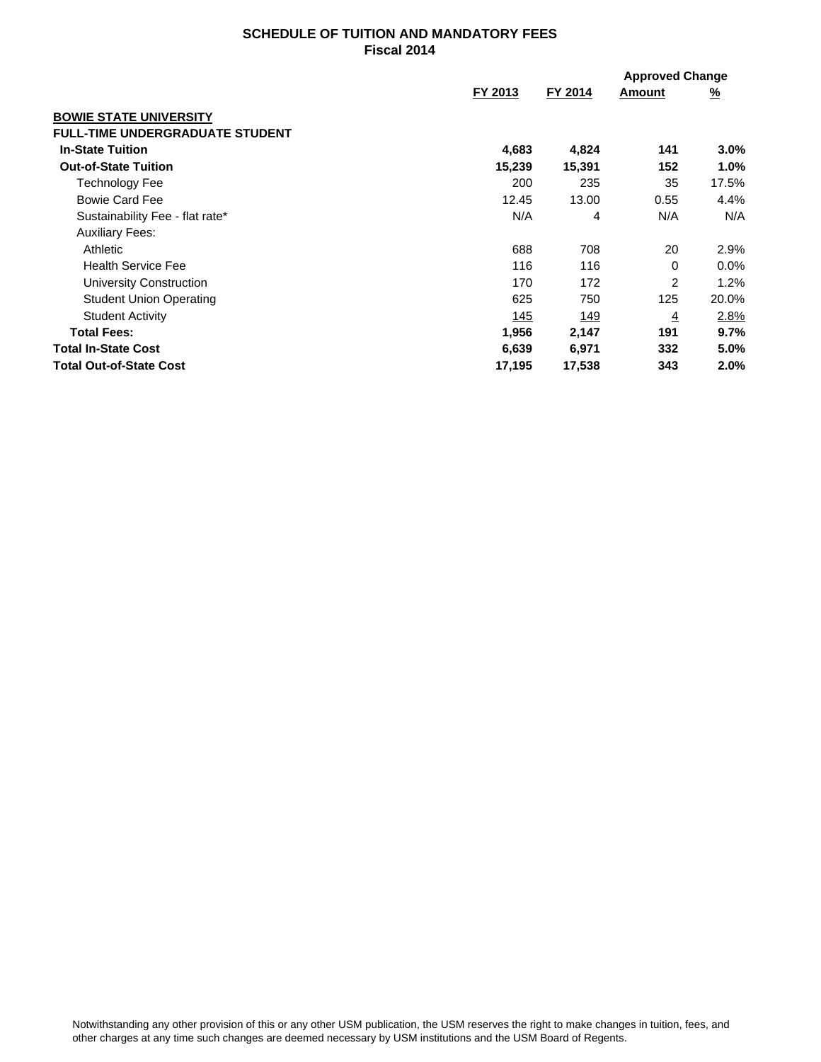## **SCHEDULE OF TUITION AND MANDATORY FEES Fiscal 2014**

|                                        |        | FY 2014<br>FY 2013 | <b>Approved Change</b> |             |
|----------------------------------------|--------|--------------------|------------------------|-------------|
|                                        |        |                    | Amount                 | <u>%</u>    |
| <b>BOWIE STATE UNIVERSITY</b>          |        |                    |                        |             |
| <b>FULL-TIME UNDERGRADUATE STUDENT</b> |        |                    |                        |             |
| <b>In-State Tuition</b>                | 4,683  | 4,824              | 141                    | $3.0\%$     |
| <b>Out-of-State Tuition</b>            | 15,239 | 15,391             | 152                    | 1.0%        |
| <b>Technology Fee</b>                  | 200    | 235                | 35                     | 17.5%       |
| <b>Bowie Card Fee</b>                  | 12.45  | 13.00              | 0.55                   | 4.4%        |
| Sustainability Fee - flat rate*        | N/A    | 4                  | N/A                    | N/A         |
| <b>Auxiliary Fees:</b>                 |        |                    |                        |             |
| Athletic                               | 688    | 708                | 20                     | 2.9%        |
| <b>Health Service Fee</b>              | 116    | 116                | 0                      | $0.0\%$     |
| <b>University Construction</b>         | 170    | 172                | 2                      | 1.2%        |
| <b>Student Union Operating</b>         | 625    | 750                | 125                    | 20.0%       |
| <b>Student Activity</b>                | 145    | <u> 149</u>        | $\overline{4}$         | <u>2.8%</u> |
| <b>Total Fees:</b>                     | 1,956  | 2,147              | 191                    | 9.7%        |
| <b>Total In-State Cost</b>             | 6,639  | 6,971              | 332                    | 5.0%        |
| <b>Total Out-of-State Cost</b>         | 17,195 | 17,538             | 343                    | 2.0%        |